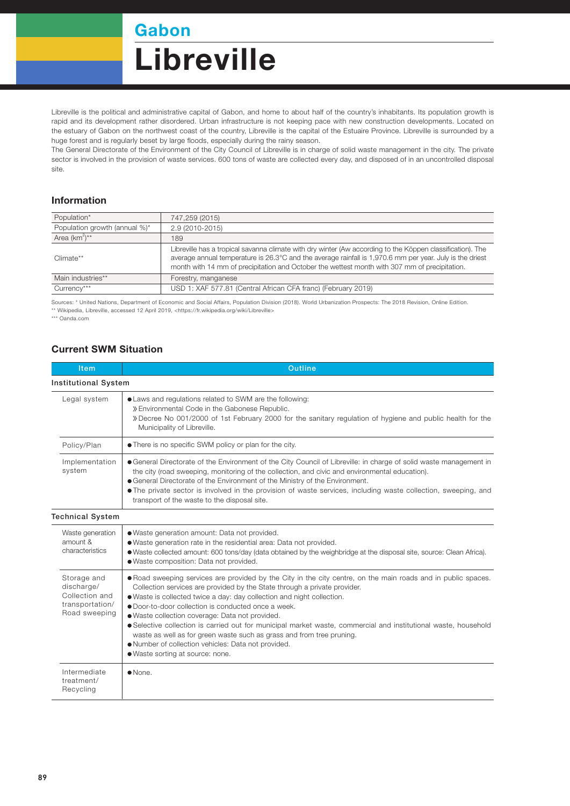Gabon

## **Libreville**

Libreville is the political and administrative capital of Gabon, and home to about half of the country's inhabitants. Its population growth is rapid and its development rather disordered. Urban infrastructure is not keeping pace with new construction developments. Located on the estuary of Gabon on the northwest coast of the country, Libreville is the capital of the Estuaire Province. Libreville is surrounded by a huge forest and is regularly beset by large floods, especially during the rainy season.

The General Directorate of the Environment of the City Council of Libreville is in charge of solid waste management in the city. The private sector is involved in the provision of waste services. 600 tons of waste are collected every day, and disposed of in an uncontrolled disposal site.

## Information

| Population*                   | 747,259 (2015)                                                                                                                                                                                                                                                                                                          |  |
|-------------------------------|-------------------------------------------------------------------------------------------------------------------------------------------------------------------------------------------------------------------------------------------------------------------------------------------------------------------------|--|
| Population growth (annual %)* | 2.9 (2010-2015)                                                                                                                                                                                                                                                                                                         |  |
| Area $(km^2)^{**}$            | 189                                                                                                                                                                                                                                                                                                                     |  |
| Climate**                     | Libreville has a tropical savanna climate with dry winter (Aw according to the Köppen classification). The<br>average annual temperature is 26.3°C and the average rainfall is 1,970.6 mm per year. July is the driest<br>month with 14 mm of precipitation and October the wettest month with 307 mm of precipitation. |  |
| Main industries**             | Forestry, manganese                                                                                                                                                                                                                                                                                                     |  |
| Currency***                   | USD 1: XAF 577.81 (Central African CFA franc) (February 2019)                                                                                                                                                                                                                                                           |  |

Sources: \* United Nations, Department of Economic and Social Affairs, Population Division (2018). World Urbanization Prospects: The 2018 Revision, Online Edition. \*\* Wikipedia, Libreville, accessed 12 April 2019, <https://fr.wikipedia.org/wiki/Libreville>

\*\*\* Oanda.com

## Current SWM Situation

| <b>Item</b>                                                                     | <b>Outline</b>                                                                                                                                                                                                                                                                                                                                                                                                                                                                                                                                                                                                                                                        |  |  |  |
|---------------------------------------------------------------------------------|-----------------------------------------------------------------------------------------------------------------------------------------------------------------------------------------------------------------------------------------------------------------------------------------------------------------------------------------------------------------------------------------------------------------------------------------------------------------------------------------------------------------------------------------------------------------------------------------------------------------------------------------------------------------------|--|--|--|
| <b>Institutional System</b>                                                     |                                                                                                                                                                                                                                                                                                                                                                                                                                                                                                                                                                                                                                                                       |  |  |  |
| Legal system                                                                    | • Laws and regulations related to SWM are the following:<br>» Environmental Code in the Gabonese Republic.<br>» Decree No 001/2000 of 1st February 2000 for the sanitary regulation of hygiene and public health for the<br>Municipality of Libreville.                                                                                                                                                                                                                                                                                                                                                                                                               |  |  |  |
| Policy/Plan                                                                     | . There is no specific SWM policy or plan for the city.                                                                                                                                                                                                                                                                                                                                                                                                                                                                                                                                                                                                               |  |  |  |
| Implementation<br>system                                                        | • General Directorate of the Environment of the City Council of Libreville: in charge of solid waste management in<br>the city (road sweeping, monitoring of the collection, and civic and environmental education).<br>• General Directorate of the Environment of the Ministry of the Environment.<br>• The private sector is involved in the provision of waste services, including waste collection, sweeping, and<br>transport of the waste to the disposal site.                                                                                                                                                                                                |  |  |  |
| <b>Technical System</b>                                                         |                                                                                                                                                                                                                                                                                                                                                                                                                                                                                                                                                                                                                                                                       |  |  |  |
| Waste generation<br>amount &<br>characteristics                                 | • Waste generation amount: Data not provided.<br>. Waste generation rate in the residential area: Data not provided.<br>• Waste collected amount: 600 tons/day (data obtained by the weighbridge at the disposal site, source: Clean Africa).<br>· Waste composition: Data not provided.                                                                                                                                                                                                                                                                                                                                                                              |  |  |  |
| Storage and<br>discharge/<br>Collection and<br>transportation/<br>Road sweeping | . Road sweeping services are provided by the City in the city centre, on the main roads and in public spaces.<br>Collection services are provided by the State through a private provider.<br>. Waste is collected twice a day: day collection and night collection.<br>• Door-to-door collection is conducted once a week.<br>· Waste collection coverage: Data not provided.<br>• Selective collection is carried out for municipal market waste, commercial and institutional waste, household<br>waste as well as for green waste such as grass and from tree pruning.<br>. Number of collection vehicles: Data not provided.<br>• Waste sorting at source: none. |  |  |  |
| Intermediate<br>treatment/<br>Recycling                                         | $\bullet$ None.                                                                                                                                                                                                                                                                                                                                                                                                                                                                                                                                                                                                                                                       |  |  |  |